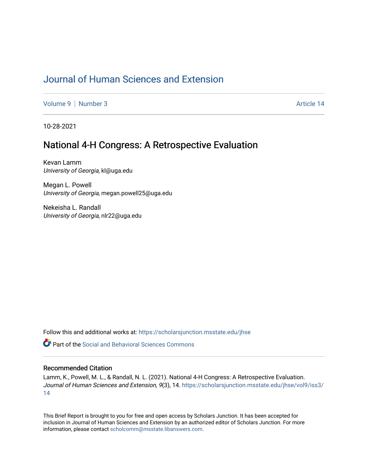## [Journal of Human Sciences and Extension](https://scholarsjunction.msstate.edu/jhse)

[Volume 9](https://scholarsjunction.msstate.edu/jhse/vol9) | [Number 3](https://scholarsjunction.msstate.edu/jhse/vol9/iss3) Article 14

10-28-2021

## National 4-H Congress: A Retrospective Evaluation

Kevan Lamm University of Georgia, kl@uga.edu

Megan L. Powell University of Georgia, megan.powell25@uga.edu

Nekeisha L. Randall University of Georgia, nlr22@uga.edu

Follow this and additional works at: [https://scholarsjunction.msstate.edu/jhse](https://scholarsjunction.msstate.edu/jhse?utm_source=scholarsjunction.msstate.edu%2Fjhse%2Fvol9%2Fiss3%2F14&utm_medium=PDF&utm_campaign=PDFCoverPages)

 $\bullet$  Part of the Social and Behavioral Sciences Commons

#### Recommended Citation

Lamm, K., Powell, M. L., & Randall, N. L. (2021). National 4-H Congress: A Retrospective Evaluation. Journal of Human Sciences and Extension, 9(3), 14. [https://scholarsjunction.msstate.edu/jhse/vol9/iss3/](https://scholarsjunction.msstate.edu/jhse/vol9/iss3/14?utm_source=scholarsjunction.msstate.edu%2Fjhse%2Fvol9%2Fiss3%2F14&utm_medium=PDF&utm_campaign=PDFCoverPages) [14](https://scholarsjunction.msstate.edu/jhse/vol9/iss3/14?utm_source=scholarsjunction.msstate.edu%2Fjhse%2Fvol9%2Fiss3%2F14&utm_medium=PDF&utm_campaign=PDFCoverPages)

This Brief Report is brought to you for free and open access by Scholars Junction. It has been accepted for inclusion in Journal of Human Sciences and Extension by an authorized editor of Scholars Junction. For more information, please contact [scholcomm@msstate.libanswers.com](mailto:scholcomm@msstate.libanswers.com).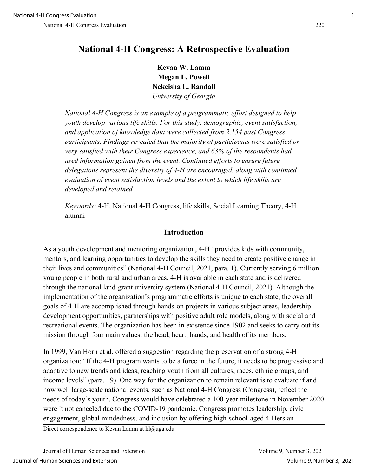# **National 4-H Congress: A Retrospective Evaluation**

**Kevan W. Lamm Megan L. Powell Nekeisha L. Randall**  *University of Georgia*

*National 4-H Congress is an example of a programmatic effort designed to help youth develop various life skills. For this study, demographic, event satisfaction, and application of knowledge data were collected from 2,154 past Congress participants. Findings revealed that the majority of participants were satisfied or very satisfied with their Congress experience, and 63% of the respondents had used information gained from the event. Continued efforts to ensure future delegations represent the diversity of 4-H are encouraged, along with continued evaluation of event satisfaction levels and the extent to which life skills are developed and retained.*

*Keywords:* 4-H, National 4-H Congress, life skills, Social Learning Theory, 4-H alumni

## **Introduction**

As a youth development and mentoring organization, 4-H "provides kids with community, mentors, and learning opportunities to develop the skills they need to create positive change in their lives and communities" (National 4-H Council, 2021, para. 1). Currently serving 6 million young people in both rural and urban areas, 4-H is available in each state and is delivered through the national land-grant university system (National 4-H Council, 2021). Although the implementation of the organization's programmatic efforts is unique to each state, the overall goals of 4-H are accomplished through hands-on projects in various subject areas, leadership development opportunities, partnerships with positive adult role models, along with social and recreational events. The organization has been in existence since 1902 and seeks to carry out its mission through four main values: the head, heart, hands, and health of its members.

In 1999, Van Horn et al. offered a suggestion regarding the preservation of a strong 4-H organization: "If the 4-H program wants to be a force in the future, it needs to be progressive and adaptive to new trends and ideas, reaching youth from all cultures, races, ethnic groups, and income levels" (para. 19). One way for the organization to remain relevant is to evaluate if and how well large-scale national events, such as National 4-H Congress (Congress), reflect the needs of today's youth. Congress would have celebrated a 100-year milestone in November 2020 were it not canceled due to the COVID-19 pandemic. Congress promotes leadership, civic engagement, global mindedness, and inclusion by offering high-school-aged 4-Hers an

Direct correspondence to Kevan Lamm at kl@uga.edu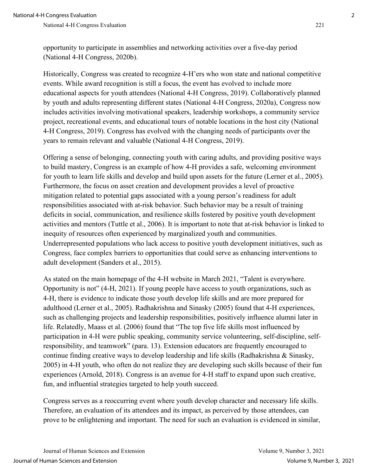opportunity to participate in assemblies and networking activities over a five-day period (National 4-H Congress, 2020b).

Historically, Congress was created to recognize 4-H'ers who won state and national competitive events. While award recognition is still a focus, the event has evolved to include more educational aspects for youth attendees (National 4-H Congress, 2019). Collaboratively planned by youth and adults representing different states (National 4-H Congress, 2020a), Congress now includes activities involving motivational speakers, leadership workshops, a community service project, recreational events, and educational tours of notable locations in the host city (National 4-H Congress, 2019). Congress has evolved with the changing needs of participants over the years to remain relevant and valuable (National 4-H Congress, 2019).

Offering a sense of belonging, connecting youth with caring adults, and providing positive ways to build mastery, Congress is an example of how 4-H provides a safe, welcoming environment for youth to learn life skills and develop and build upon assets for the future (Lerner et al., 2005). Furthermore, the focus on asset creation and development provides a level of proactive mitigation related to potential gaps associated with a young person's readiness for adult responsibilities associated with at-risk behavior. Such behavior may be a result of training deficits in social, communication, and resilience skills fostered by positive youth development activities and mentors (Tuttle et al., 2006). It is important to note that at-risk behavior is linked to inequity of resources often experienced by marginalized youth and communities. Underrepresented populations who lack access to positive youth development initiatives, such as Congress, face complex barriers to opportunities that could serve as enhancing interventions to adult development (Sanders et al., 2015).

As stated on the main homepage of the 4-H website in March 2021, "Talent is everywhere. Opportunity is not" (4-H, 2021). If young people have access to youth organizations, such as 4-H, there is evidence to indicate those youth develop life skills and are more prepared for adulthood (Lerner et al., 2005). Radhakrishna and Sinasky (2005) found that 4-H experiences, such as challenging projects and leadership responsibilities, positively influence alumni later in life. Relatedly, Maass et al. (2006) found that "The top five life skills most influenced by participation in 4-H were public speaking, community service volunteering, self-discipline, selfresponsibility, and teamwork" (para. 13). Extension educators are frequently encouraged to continue finding creative ways to develop leadership and life skills (Radhakrishna & Sinasky, 2005) in 4-H youth, who often do not realize they are developing such skills because of their fun experiences (Arnold, 2018). Congress is an avenue for 4-H staff to expand upon such creative, fun, and influential strategies targeted to help youth succeed.

Congress serves as a reoccurring event where youth develop character and necessary life skills. Therefore, an evaluation of its attendees and its impact, as perceived by those attendees, can prove to be enlightening and important. The need for such an evaluation is evidenced in similar,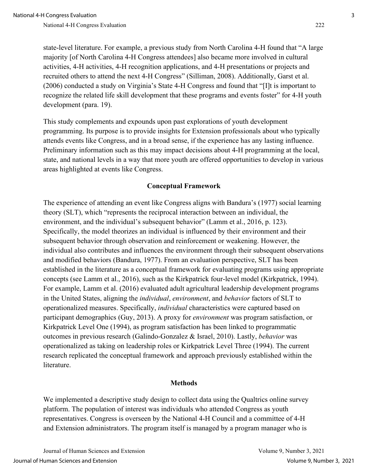state-level literature. For example, a previous study from North Carolina 4-H found that "A large majority [of North Carolina 4-H Congress attendees] also became more involved in cultural activities, 4-H activities, 4-H recognition applications, and 4-H presentations or projects and recruited others to attend the next 4-H Congress" (Silliman, 2008). Additionally, Garst et al. (2006) conducted a study on Virginia's State 4-H Congress and found that "[I]t is important to recognize the related life skill development that these programs and events foster" for 4-H youth development (para. 19).

This study complements and expounds upon past explorations of youth development programming. Its purpose is to provide insights for Extension professionals about who typically attends events like Congress, and in a broad sense, if the experience has any lasting influence. Preliminary information such as this may impact decisions about 4-H programming at the local, state, and national levels in a way that more youth are offered opportunities to develop in various areas highlighted at events like Congress.

#### **Conceptual Framework**

The experience of attending an event like Congress aligns with Bandura's (1977) social learning theory (SLT), which "represents the reciprocal interaction between an individual, the environment, and the individual's subsequent behavior" (Lamm et al., 2016, p. 123). Specifically, the model theorizes an individual is influenced by their environment and their subsequent behavior through observation and reinforcement or weakening. However, the individual also contributes and influences the environment through their subsequent observations and modified behaviors (Bandura, 1977). From an evaluation perspective, SLT has been established in the literature as a conceptual framework for evaluating programs using appropriate concepts (see Lamm et al., 2016), such as the Kirkpatrick four-level model (Kirkpatrick, 1994). For example, Lamm et al. (2016) evaluated adult agricultural leadership development programs in the United States, aligning the *individual*, *environment*, and *behavior* factors of SLT to operationalized measures. Specifically, *individual* characteristics were captured based on participant demographics (Guy, 2013). A proxy for *environment* was program satisfaction, or Kirkpatrick Level One (1994), as program satisfaction has been linked to programmatic outcomes in previous research (Galindo-Gonzalez & Israel, 2010). Lastly, *behavior* was operationalized as taking on leadership roles or Kirkpatrick Level Three (1994). The current research replicated the conceptual framework and approach previously established within the literature.

#### **Methods**

We implemented a descriptive study design to collect data using the Qualtrics online survey platform. The population of interest was individuals who attended Congress as youth representatives. Congress is overseen by the National 4-H Council and a committee of 4-H and Extension administrators. The program itself is managed by a program manager who is

Journal of Human Sciences and Extension Volume 9, Number 3, 2021 Journal of Human Sciences and Extension Volume 9, Number 3, 2021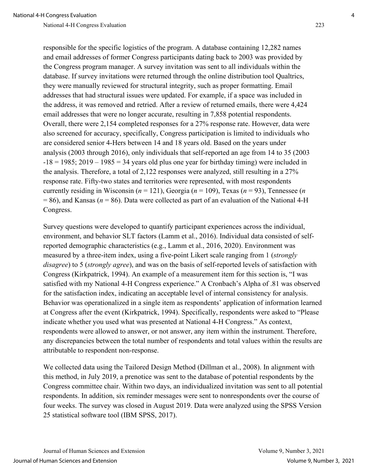responsible for the specific logistics of the program. A database containing 12,282 names and email addresses of former Congress participants dating back to 2003 was provided by the Congress program manager. A survey invitation was sent to all individuals within the database. If survey invitations were returned through the online distribution tool Qualtrics, they were manually reviewed for structural integrity, such as proper formatting. Email addresses that had structural issues were updated. For example, if a space was included in the address, it was removed and retried. After a review of returned emails, there were 4,424 email addresses that were no longer accurate, resulting in 7,858 potential respondents. Overall, there were 2,154 completed responses for a 27% response rate. However, data were also screened for accuracy, specifically, Congress participation is limited to individuals who are considered senior 4-Hers between 14 and 18 years old. Based on the years under analysis (2003 through 2016), only individuals that self-reported an age from 14 to 35 (2003  $-18 = 1985$ ; 2019 – 1985 = 34 years old plus one year for birthday timing) were included in the analysis. Therefore, a total of 2,122 responses were analyzed, still resulting in a 27% response rate. Fifty-two states and territories were represented, with most respondents currently residing in Wisconsin ( $n = 121$ ), Georgia ( $n = 109$ ), Texas ( $n = 93$ ), Tennessee ( $n = 109$ )  $= 86$ ), and Kansas ( $n = 86$ ). Data were collected as part of an evaluation of the National 4-H Congress.

Survey questions were developed to quantify participant experiences across the individual, environment, and behavior SLT factors (Lamm et al., 2016). Individual data consisted of selfreported demographic characteristics (e.g., Lamm et al., 2016, 2020). Environment was measured by a three-item index, using a five-point Likert scale ranging from 1 (*strongly disagree*) to 5 (*strongly agree*), and was on the basis of self-reported levels of satisfaction with Congress (Kirkpatrick, 1994). An example of a measurement item for this section is, "I was satisfied with my National 4-H Congress experience." A Cronbach's Alpha of .81 was observed for the satisfaction index, indicating an acceptable level of internal consistency for analysis. Behavior was operationalized in a single item as respondents' application of information learned at Congress after the event (Kirkpatrick, 1994). Specifically, respondents were asked to "Please indicate whether you used what was presented at National 4-H Congress." As context, respondents were allowed to answer, or not answer, any item within the instrument. Therefore, any discrepancies between the total number of respondents and total values within the results are attributable to respondent non-response.

We collected data using the Tailored Design Method (Dillman et al., 2008). In alignment with this method, in July 2019, a prenotice was sent to the database of potential respondents by the Congress committee chair. Within two days, an individualized invitation was sent to all potential respondents. In addition, six reminder messages were sent to nonrespondents over the course of four weeks. The survey was closed in August 2019. Data were analyzed using the SPSS Version 25 statistical software tool (IBM SPSS, 2017).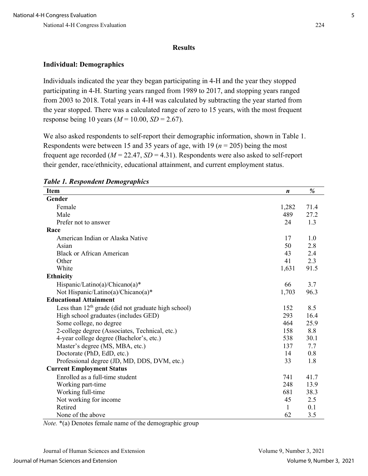### **Results**

## **Individual: Demographics**

Individuals indicated the year they began participating in 4-H and the year they stopped participating in 4-H. Starting years ranged from 1989 to 2017, and stopping years ranged from 2003 to 2018. Total years in 4-H was calculated by subtracting the year started from the year stopped. There was a calculated range of zero to 15 years, with the most frequent response being 10 years ( $M = 10.00$ ,  $SD = 2.67$ ).

We also asked respondents to self-report their demographic information, shown in Table 1. Respondents were between 15 and 35 years of age, with 19 (*n* = 205) being the most frequent age recorded (*M* = 22.47, *SD* = 4.31). Respondents were also asked to self-report their gender, race/ethnicity, educational attainment, and current employment status.

| <b>Item</b>                                           | $\boldsymbol{n}$ | %    |
|-------------------------------------------------------|------------------|------|
| Gender                                                |                  |      |
| Female                                                | 1,282            | 71.4 |
| Male                                                  | 489              | 27.2 |
| Prefer not to answer                                  | 24               | 1.3  |
| Race                                                  |                  |      |
| American Indian or Alaska Native                      | 17               | 1.0  |
| Asian                                                 | 50               | 2.8  |
| <b>Black or African American</b>                      | 43               | 2.4  |
| Other                                                 | 41               | 2.3  |
| White                                                 | 1,631            | 91.5 |
| <b>Ethnicity</b>                                      |                  |      |
| Hispanic/Latino(a)/Chicano(a)*                        | 66               | 3.7  |
| Not Hispanic/Latino(a)/Chicano(a)*                    | 1,703            | 96.3 |
| <b>Educational Attainment</b>                         |                  |      |
| Less than $12th$ grade (did not graduate high school) | 152              | 8.5  |
| High school graduates (includes GED)                  | 293              | 16.4 |
| Some college, no degree                               | 464              | 25.9 |
| 2-college degree (Associates, Technical, etc.)        | 158              | 8.8  |
| 4-year college degree (Bachelor's, etc.)              | 538              | 30.1 |
| Master's degree (MS, MBA, etc.)                       | 137              | 7.7  |
| Doctorate (PhD, EdD, etc.)                            | 14               | 0.8  |
| Professional degree (JD, MD, DDS, DVM, etc.)          | 33               | 1.8  |
| <b>Current Employment Status</b>                      |                  |      |
| Enrolled as a full-time student                       | 741              | 41.7 |
| Working part-time                                     | 248              | 13.9 |
| Working full-time                                     | 681              | 38.3 |
| Not working for income                                | 45               | 2.5  |
| Retired                                               | 1                | 0.1  |
| None of the above                                     | 62               | 3.5  |

*Table 1. Respondent Demographics* 

*Note.* \*(a) Denotes female name of the demographic group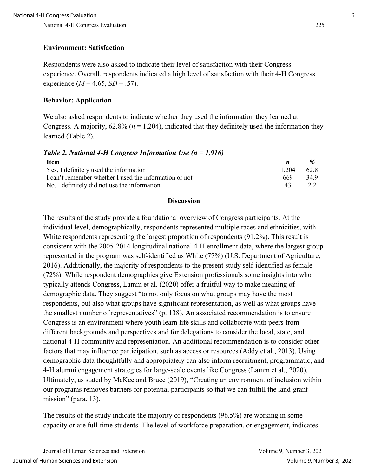### **Environment: Satisfaction**

Respondents were also asked to indicate their level of satisfaction with their Congress experience. Overall, respondents indicated a high level of satisfaction with their 4-H Congress experience  $(M = 4.65, SD = .57)$ .

#### **Behavior: Application**

We also asked respondents to indicate whether they used the information they learned at Congress. A majority,  $62.8\%$  ( $n = 1,204$ ), indicated that they definitely used the information they learned (Table 2).

*Table 2. National 4-H Congress Information Use (n = 1,916)* 

| <b>Item</b>                                            |       |      |
|--------------------------------------------------------|-------|------|
| Yes, I definitely used the information                 | 1,204 | 62.8 |
| I can't remember whether I used the information or not | 669   | 34.9 |
| No, I definitely did not use the information           | 43    |      |

#### **Discussion**

The results of the study provide a foundational overview of Congress participants. At the individual level, demographically, respondents represented multiple races and ethnicities, with White respondents representing the largest proportion of respondents (91.2%). This result is consistent with the 2005-2014 longitudinal national 4-H enrollment data, where the largest group represented in the program was self-identified as White (77%) (U.S. Department of Agriculture, 2016). Additionally, the majority of respondents to the present study self-identified as female (72%). While respondent demographics give Extension professionals some insights into who typically attends Congress, Lamm et al. (2020) offer a fruitful way to make meaning of demographic data. They suggest "to not only focus on what groups may have the most respondents, but also what groups have significant representation, as well as what groups have the smallest number of representatives" (p. 138). An associated recommendation is to ensure Congress is an environment where youth learn life skills and collaborate with peers from different backgrounds and perspectives and for delegations to consider the local, state, and national 4-H community and representation. An additional recommendation is to consider other factors that may influence participation, such as access or resources (Addy et al., 2013). Using demographic data thoughtfully and appropriately can also inform recruitment, programmatic, and 4-H alumni engagement strategies for large-scale events like Congress (Lamm et al., 2020). Ultimately, as stated by McKee and Bruce (2019), "Creating an environment of inclusion within our programs removes barriers for potential participants so that we can fulfill the land-grant mission" (para. 13).

The results of the study indicate the majority of respondents (96.5%) are working in some capacity or are full-time students. The level of workforce preparation, or engagement, indicates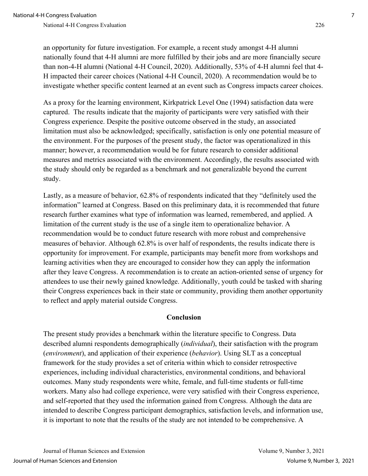an opportunity for future investigation. For example, a recent study amongst 4-H alumni nationally found that 4-H alumni are more fulfilled by their jobs and are more financially secure than non-4-H alumni (National 4-H Council, 2020). Additionally, 53% of 4-H alumni feel that 4- H impacted their career choices (National 4-H Council, 2020). A recommendation would be to investigate whether specific content learned at an event such as Congress impacts career choices.

As a proxy for the learning environment, Kirkpatrick Level One (1994) satisfaction data were captured. The results indicate that the majority of participants were very satisfied with their Congress experience. Despite the positive outcome observed in the study, an associated limitation must also be acknowledged; specifically, satisfaction is only one potential measure of the environment. For the purposes of the present study, the factor was operationalized in this manner; however, a recommendation would be for future research to consider additional measures and metrics associated with the environment. Accordingly, the results associated with the study should only be regarded as a benchmark and not generalizable beyond the current study.

Lastly, as a measure of behavior, 62.8% of respondents indicated that they "definitely used the information" learned at Congress. Based on this preliminary data, it is recommended that future research further examines what type of information was learned, remembered, and applied. A limitation of the current study is the use of a single item to operationalize behavior. A recommendation would be to conduct future research with more robust and comprehensive measures of behavior. Although 62.8% is over half of respondents, the results indicate there is opportunity for improvement. For example, participants may benefit more from workshops and learning activities when they are encouraged to consider how they can apply the information after they leave Congress. A recommendation is to create an action-oriented sense of urgency for attendees to use their newly gained knowledge. Additionally, youth could be tasked with sharing their Congress experiences back in their state or community, providing them another opportunity to reflect and apply material outside Congress.

#### **Conclusion**

The present study provides a benchmark within the literature specific to Congress. Data described alumni respondents demographically (*individual*), their satisfaction with the program (*environment*), and application of their experience (*behavior*). Using SLT as a conceptual framework for the study provides a set of criteria within which to consider retrospective experiences, including individual characteristics, environmental conditions, and behavioral outcomes. Many study respondents were white, female, and full-time students or full-time workers. Many also had college experience, were very satisfied with their Congress experience, and self-reported that they used the information gained from Congress. Although the data are intended to describe Congress participant demographics, satisfaction levels, and information use, it is important to note that the results of the study are not intended to be comprehensive. A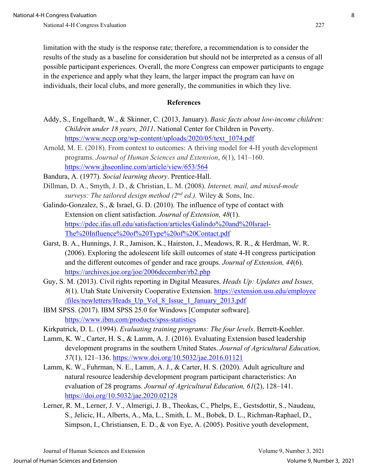limitation with the study is the response rate; therefore, a recommendation is to consider the results of the study as a baseline for consideration but should not be interpreted as a census of all possible participant experiences. Overall, the more Congress can empower participants to engage in the experience and apply what they learn, the larger impact the program can have on individuals, their local clubs, and more generally, the communities in which they live.

#### **References**

- Addy, S., Engelhardt, W., & Skinner, C. (2013, January). *Basic facts about low-income children: Children under 18 years, 2011*. National Center for Children in Poverty. [https://www.nccp.org/wp-content/uploads/2020/05/text\\_1074.pdf](https://www.nccp.org/wp-content/uploads/2020/05/text_1074.pdf)
- Arnold, M. E. (2018). From context to outcomes: A thriving model for 4-H youth development programs. *Journal of Human Sciences and Extension*, *6*(1), 141–160. <https://www.jhseonline.com/article/view/653/564>
- Bandura, A. (1977). *Social learning theory*. Prentice-Hall.
- Dillman, D. A., Smyth, J. D., & Christian, L. M. (2008). *Internet, mail, and mixed-mode surveys: The tailored design method (2nd ed.).* Wiley & Sons, Inc.
- Galindo-Gonzalez, S., & Israel, G. D. (2010). The influence of type of contact with Extension on client satisfaction. *Journal of Extension, 48*(1). [https://pdec.ifas.ufl.edu/satisfaction/articles/Galindo%20and%20Israel-](https://pdec.ifas.ufl.edu/satisfaction/articles/Galindo%20and%20Israel-The%20Influence%20of%20Type%20of%20Contact.pdf)[The%20Influence%20of%20Type%20of%20Contact.pdf](https://pdec.ifas.ufl.edu/satisfaction/articles/Galindo%20and%20Israel-The%20Influence%20of%20Type%20of%20Contact.pdf)
- Garst, B. A., Hunnings, J. R., Jamison, K., Hairston, J., Meadows, R. R., & Herdman, W. R. (2006). Exploring the adolescent life skill outcomes of state 4-H congress participation and the different outcomes of gender and race groups. *Journal of Extension, 44*(6). <https://archives.joe.org/joe/2006december/rb2.php>
- Guy, S. M. (2013). Civil rights reporting in Digital Measures. *Heads Up: Updates and Issues, 8*(1). Utah State University Cooperative Extension. [https://extension.usu.edu/employee](https://extension.usu.edu/employee/files/newletters/Heads_Up_Vol_8_Issue_1_January_2013.pdf)  [/files/newletters/Heads\\_Up\\_Vol\\_8\\_Issue\\_1\\_January\\_2013.pdf](https://extension.usu.edu/employee/files/newletters/Heads_Up_Vol_8_Issue_1_January_2013.pdf)
- IBM SPSS. (2017). IBM SPSS 25.0 for Windows [Computer software]. <https://www.ibm.com/products/spss-statistics>
- Kirkpatrick, D. L. (1994). *Evaluating training programs: The four levels*. Berrett-Koehler.
- Lamm, K. W., Carter, H. S., & Lamm, A. J. (2016). Evaluating Extension based leadership development programs in the southern United States. *Journal of Agricultural Education, 57*(1), 121–136.<https://www.doi.org/10.5032/jae.2016.01121>
- Lamm, K. W., Fuhrman, N. E., Lamm, A. J., & Carter, H. S. (2020). Adult agriculture and natural resource leadership development program participant characteristics: An evaluation of 28 programs. *Journal of Agricultural Education, 61*(2), 128–141. <https://doi.org/10.5032/jae.2020.02128>
- Lerner, R. M., Lerner, J. V., Almerigi, J. B., Theokas, C., Phelps, E., Gestsdottir, S., Naudeau, S., Jelicic, H., Alberts, A., Ma, L., Smith, L. M., Bobek, D. L., Richman-Raphael, D., Simpson, I., Christiansen, E. D., & von Eye, A. (2005). Positive youth development,